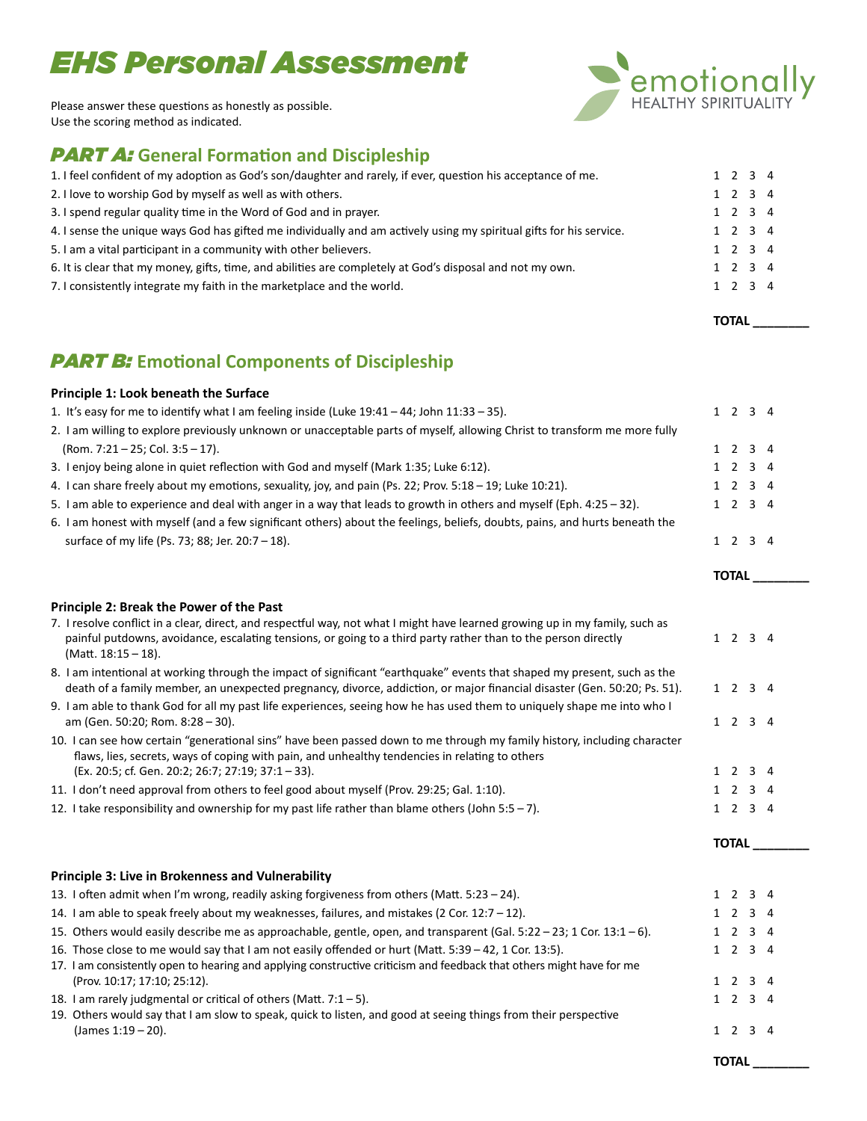# **EHS Personal Assessment**



Please answer these questions as honestly as possible. Use the scoring method as indicated.

# **PART A:** General Formation and Discipleship

| 1. I feel confident of my adoption as God's son/daughter and rarely, if ever, question his acceptance of me.        |  | 1 2 3 4         |  |
|---------------------------------------------------------------------------------------------------------------------|--|-----------------|--|
| 2. I love to worship God by myself as well as with others.                                                          |  | $1 \t2 \t3 \t4$ |  |
| 3. I spend regular quality time in the Word of God and in prayer.                                                   |  | $1 \t2 \t3 \t4$ |  |
| 4. I sense the unique ways God has gifted me individually and am actively using my spiritual gifts for his service. |  | $1 \t2 \t3 \t4$ |  |
| 5. I am a vital participant in a community with other believers.                                                    |  | $1 \t2 \t3 \t4$ |  |
| 6. It is clear that my money, gifts, time, and abilities are completely at God's disposal and not my own.           |  | $1 \t2 \t3 \t4$ |  |
| 7. I consistently integrate my faith in the marketplace and the world.                                              |  | $1 \t2 \t3 \t4$ |  |
|                                                                                                                     |  |                 |  |

TOTAL

# **PART B:** Emotional Components of Discipleship

#### Principle 1: Look beneath the Surface

| 1. It's easy for me to identify what I am feeling inside (Luke 19:41 - 44; John 11:33 - 35).                                                                                                                                                                          | $1 \t2 \t3 \t4$ |
|-----------------------------------------------------------------------------------------------------------------------------------------------------------------------------------------------------------------------------------------------------------------------|-----------------|
| 2. I am willing to explore previously unknown or unacceptable parts of myself, allowing Christ to transform me more fully                                                                                                                                             |                 |
| (Rom. 7:21 - 25; Col. 3:5 - 17).                                                                                                                                                                                                                                      | 1 2 3 4         |
| 3. I enjoy being alone in quiet reflection with God and myself (Mark 1:35; Luke 6:12).                                                                                                                                                                                | 1 2 3 4         |
| 4. I can share freely about my emotions, sexuality, joy, and pain (Ps. 22; Prov. 5:18 - 19; Luke 10:21).                                                                                                                                                              | 1 2 3 4         |
| 5. I am able to experience and deal with anger in a way that leads to growth in others and myself (Eph. 4:25 - 32).                                                                                                                                                   | 1 2 3 4         |
| 6. I am honest with myself (and a few significant others) about the feelings, beliefs, doubts, pains, and hurts beneath the                                                                                                                                           |                 |
| surface of my life (Ps. 73; 88; Jer. 20:7 - 18).                                                                                                                                                                                                                      | 1 2 3 4         |
|                                                                                                                                                                                                                                                                       | TOTAL           |
| Principle 2: Break the Power of the Past                                                                                                                                                                                                                              |                 |
| 7. I resolve conflict in a clear, direct, and respectful way, not what I might have learned growing up in my family, such as<br>painful putdowns, avoidance, escalating tensions, or going to a third party rather than to the person directly<br>(Matt. 18:15 - 18). | 1 2 3 4         |
| 8. I am intentional at working through the impact of significant "earthquake" events that shaped my present, such as the<br>death of a family member, an unexpected pregnancy, divorce, addiction, or major financial disaster (Gen. 50:20; Ps. 51).                  | $1 \t2 \t3 \t4$ |
| 9. I am able to thank God for all my past life experiences, seeing how he has used them to uniquely shape me into who I<br>am (Gen. 50:20; Rom. 8:28 - 30).                                                                                                           | 1 2 3 4         |
| 10. I can see how certain "generational sins" have been passed down to me through my family history, including character<br>flaws, lies, secrets, ways of coping with pain, and unhealthy tendencies in relating to others                                            |                 |
| (Ex. 20:5; cf. Gen. 20:2; 26:7; 27:19; 37:1 - 33).                                                                                                                                                                                                                    | 1 2 3 4         |
| 11. I don't need approval from others to feel good about myself (Prov. 29:25; Gal. 1:10).                                                                                                                                                                             | 1 2 3 4         |
| 12. I take responsibility and ownership for my past life rather than blame others (John 5:5 - 7).                                                                                                                                                                     | 1 2 3 4         |
|                                                                                                                                                                                                                                                                       | <b>TOTAL</b>    |
| Principle 3: Live in Brokenness and Vulnerability                                                                                                                                                                                                                     |                 |
| 13. I often admit when I'm wrong, readily asking forgiveness from others (Matt. 5:23 - 24).                                                                                                                                                                           | $1 \t2 \t3 \t4$ |
| 14. I am able to speak freely about my weaknesses, failures, and mistakes (2 Cor. 12:7 - 12).                                                                                                                                                                         | 1 2 3 4         |
| 15. Others would easily describe me as approachable, gentle, open, and transparent (Gal. 5:22 - 23; 1 Cor. 13:1 - 6).                                                                                                                                                 | 1 2 3 4         |
| 16. Those close to me would say that I am not easily offended or hurt (Matt. 5:39 - 42, 1 Cor. 13:5).                                                                                                                                                                 | 1 2 3 4         |
| 17. I am consistently open to hearing and applying constructive criticism and feedback that others might have for me<br>(Prov. 10:17; 17:10; 25:12).                                                                                                                  | 1 2 3 4         |
| 18. I am rarely judgmental or critical of others (Matt. 7:1 - 5).                                                                                                                                                                                                     | 1 2 3 4         |
| 19. Others would say that I am slow to speak, quick to listen, and good at seeing things from their perspective                                                                                                                                                       |                 |
| (James 1:19 - 20).                                                                                                                                                                                                                                                    | 1 2 3 4         |
|                                                                                                                                                                                                                                                                       | <b>TOTAL</b>    |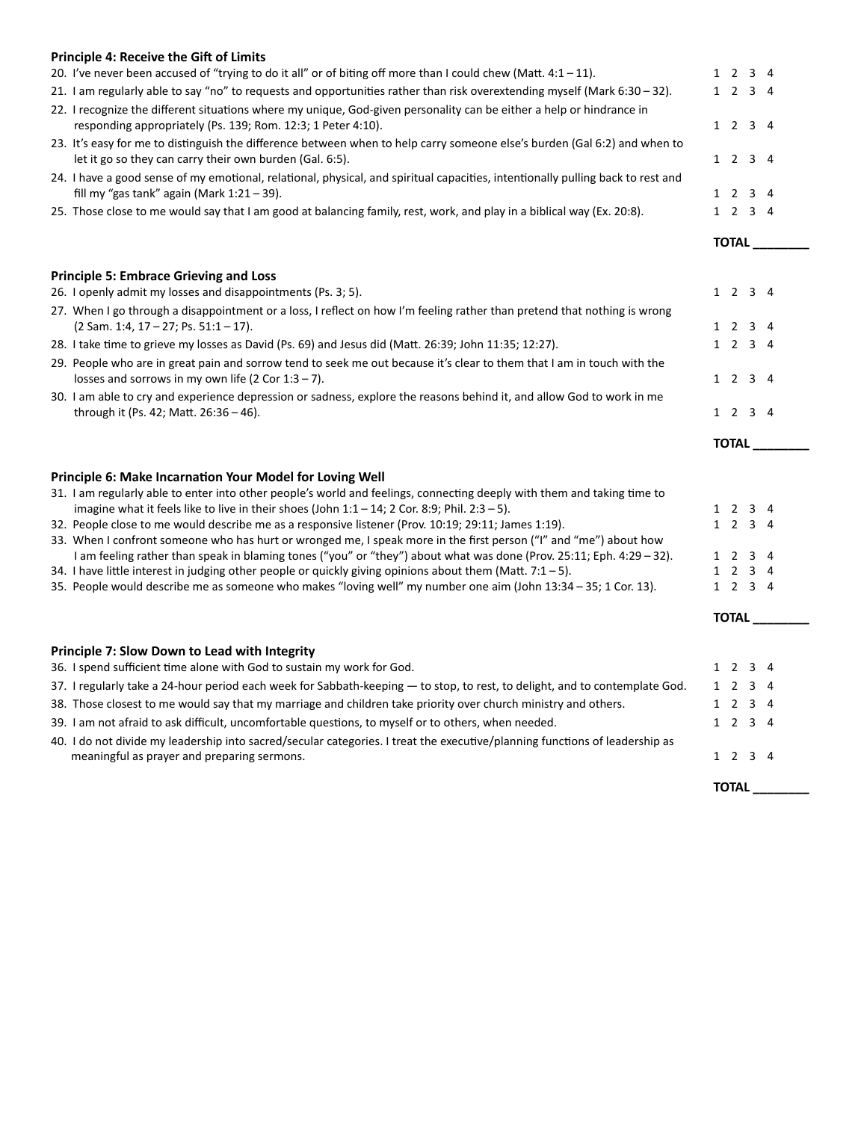| <b>Principle 4: Receive the Gift of Limits</b>                                                                                                                                                                           |                                |                 |    |
|--------------------------------------------------------------------------------------------------------------------------------------------------------------------------------------------------------------------------|--------------------------------|-----------------|----|
| 20. I've never been accused of "trying to do it all" or of biting off more than I could chew (Matt. 4:1 - 11).                                                                                                           | 12                             | 3 4             |    |
| 21. I am regularly able to say "no" to requests and opportunities rather than risk overextending myself (Mark 6:30 - 32).                                                                                                |                                | 1 2 3 4         |    |
| 22. I recognize the different situations where my unique, God-given personality can be either a help or hindrance in<br>responding appropriately (Ps. 139; Rom. 12:3; 1 Peter 4:10).                                     |                                | 1 2 3 4         |    |
| 23. It's easy for me to distinguish the difference between when to help carry someone else's burden (Gal 6:2) and when to<br>let it go so they can carry their own burden (Gal. 6:5).                                    |                                | 1 2 3 4         |    |
| 24. I have a good sense of my emotional, relational, physical, and spiritual capacities, intentionally pulling back to rest and<br>fill my "gas tank" again (Mark $1:21-39$ ).                                           |                                | 1 2 3 4         |    |
| 25. Those close to me would say that I am good at balancing family, rest, work, and play in a biblical way (Ex. 20:8).                                                                                                   |                                | 1 2 3 4         |    |
|                                                                                                                                                                                                                          |                                | TOTAL           |    |
| <b>Principle 5: Embrace Grieving and Loss</b>                                                                                                                                                                            |                                |                 |    |
| 26. I openly admit my losses and disappointments (Ps. 3; 5).                                                                                                                                                             |                                | $1 \t2 \t3 \t4$ |    |
| 27. When I go through a disappointment or a loss, I reflect on how I'm feeling rather than pretend that nothing is wrong<br>(2 Sam. 1:4, 17 - 27; Ps. 51:1 - 17).                                                        | 1 2                            | 3 4             |    |
| 28. I take time to grieve my losses as David (Ps. 69) and Jesus did (Matt. 26:39; John 11:35; 12:27).                                                                                                                    |                                | 1 2 3 4         |    |
| 29. People who are in great pain and sorrow tend to seek me out because it's clear to them that I am in touch with the<br>losses and sorrows in my own life (2 Cor $1:3 - 7$ ).                                          |                                | 1 2 3 4         |    |
| 30. I am able to cry and experience depression or sadness, explore the reasons behind it, and allow God to work in me                                                                                                    |                                |                 |    |
| through it (Ps. 42; Matt. 26:36 - 46).                                                                                                                                                                                   |                                | 1 2 3 4         |    |
|                                                                                                                                                                                                                          | <b>TOTAL</b>                   |                 |    |
| Principle 6: Make Incarnation Your Model for Loving Well                                                                                                                                                                 |                                |                 |    |
| 31. I am regularly able to enter into other people's world and feelings, connecting deeply with them and taking time to                                                                                                  |                                |                 |    |
| imagine what it feels like to live in their shoes (John $1:1-14$ ; 2 Cor. 8:9; Phil. 2:3 - 5).                                                                                                                           | 1 2                            | 3 4             |    |
| 32. People close to me would describe me as a responsive listener (Prov. 10:19; 29:11; James 1:19).<br>33. When I confront someone who has hurt or wronged me, I speak more in the first person ("I" and "me") about how |                                | 1 2 3 4         |    |
| I am feeling rather than speak in blaming tones ("you" or "they") about what was done (Prov. 25:11; Eph. 4:29 - 32).                                                                                                     | 1 2                            | 3 4             |    |
| 34. I have little interest in judging other people or quickly giving opinions about them (Matt. 7:1 - 5).                                                                                                                |                                | 1 2 3 4         |    |
|                                                                                                                                                                                                                          |                                |                 |    |
| 35. People would describe me as someone who makes "loving well" my number one aim (John 13:34 - 35; 1 Cor. 13).                                                                                                          |                                | 1 2 3 4         |    |
|                                                                                                                                                                                                                          |                                | TOTAL           |    |
|                                                                                                                                                                                                                          |                                |                 |    |
| Principle 7: Slow Down to Lead with Integrity<br>36. I spend sufficient time alone with God to sustain my work for God.                                                                                                  |                                | 1 2 3 4         |    |
| 37. I regularly take a 24-hour period each week for Sabbath-keeping - to stop, to rest, to delight, and to contemplate God.                                                                                              | $1\quad 2$                     | 3               |    |
| 38. Those closest to me would say that my marriage and children take priority over church ministry and others.                                                                                                           | $\overline{2}$<br>$\mathbf{1}$ | 3               | -4 |
| 39. I am not afraid to ask difficult, uncomfortable questions, to myself or to others, when needed.                                                                                                                      |                                | 1 2 3 4         |    |
| 40. I do not divide my leadership into sacred/secular categories. I treat the executive/planning functions of leadership as                                                                                              |                                |                 |    |
| meaningful as prayer and preparing sermons.                                                                                                                                                                              | 1 2                            | 34              |    |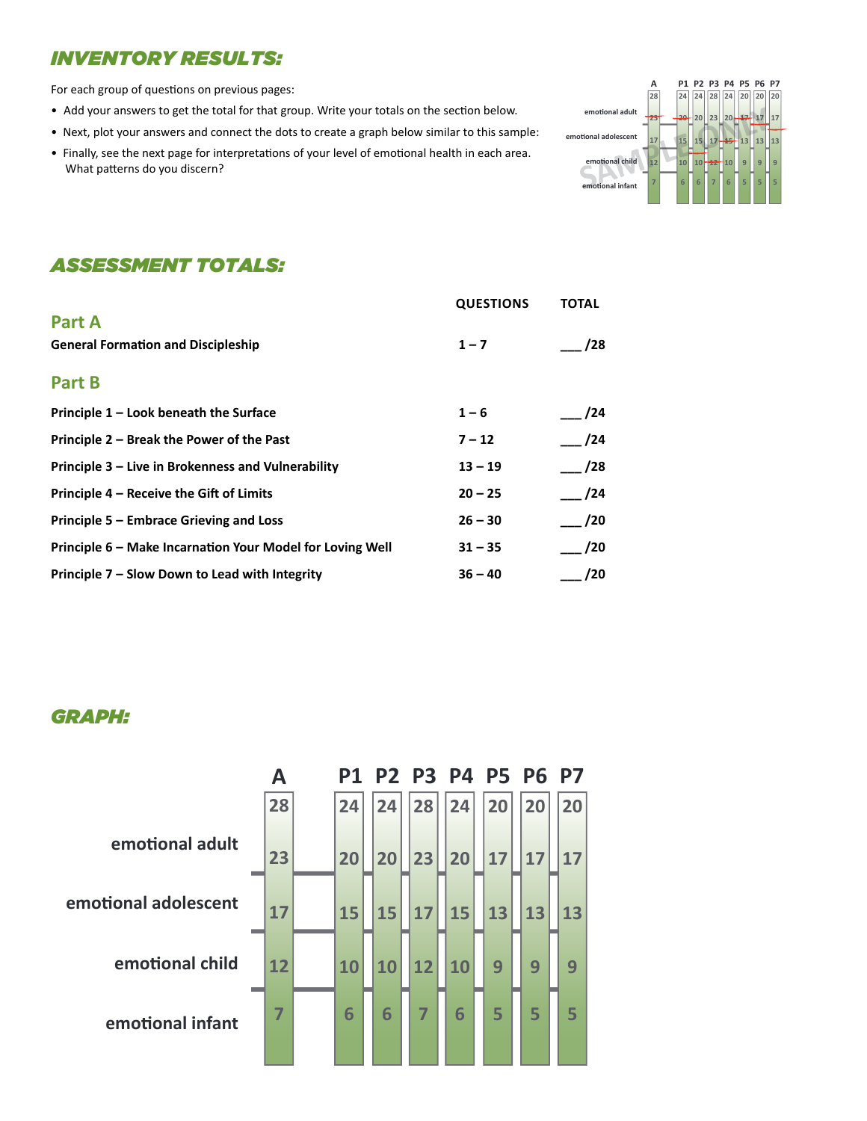## **INVENTORY RESULTS:**

For each group of questions on previous pages:

- Add your answers to get the total for that group. Write your totals on the section below.
- Next, plot your answers and connect the dots to create a graph below similar to this sample:
- Finally, see the next page for interpretations of your level of emotional health in each area. What patterns do you discern?



# **ASSESSMENT TOTALS:**

|                                                           | <b>QUESTIONS</b> | <b>TOTAL</b> |
|-----------------------------------------------------------|------------------|--------------|
| <b>Part A</b>                                             |                  |              |
| <b>General Formation and Discipleship</b>                 | $1 - 7$          | /28          |
| Part B                                                    |                  |              |
|                                                           |                  |              |
| Principle 1 – Look beneath the Surface                    | $1 - 6$          | /24          |
| Principle 2 – Break the Power of the Past                 | $7 - 12$         | /24          |
| Principle 3 – Live in Brokenness and Vulnerability        | $13 - 19$        | /28          |
| Principle 4 – Receive the Gift of Limits                  | $20 - 25$        | /24          |
| Principle 5 – Embrace Grieving and Loss                   | $26 - 30$        | /20          |
| Principle 6 – Make Incarnation Your Model for Loving Well | $31 - 35$        | /20          |
| Principle 7 – Slow Down to Lead with Integrity            | $36 - 40$        | /20          |

## **GRAPH:**

|                      | А  | P1 |    |    |    | P2 P3 P4 P5 P6 P7 |    |    |
|----------------------|----|----|----|----|----|-------------------|----|----|
|                      | 28 | 24 | 24 | 28 | 24 | 20                | 20 | 20 |
| emotional adult      | 23 | 20 | 20 | 23 | 20 | 17                | 17 | 17 |
| emotional adolescent | 17 | 15 | 15 | 17 | 15 | 13                | 13 | 13 |
| emotional child      | 12 | 10 | 10 | 12 | 10 | 9                 | 9  | 9  |
| emotional infant     | 7  | 6  | 6  | 7  | 6  | 5                 | 5  | 5  |